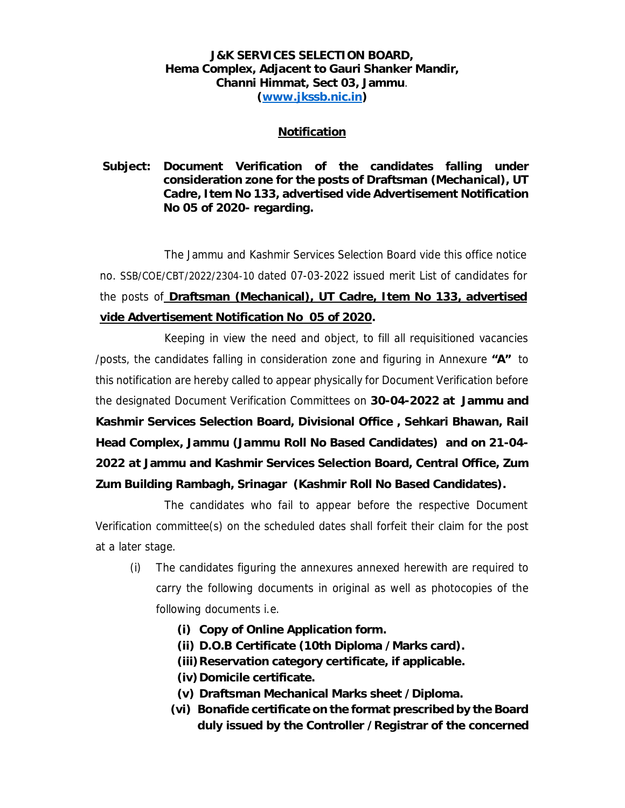## **J&K SERVICES SELECTION BOARD, Hema Complex, Adjacent to Gauri Shanker Mandir, Channi Himmat, Sect 03, Jammu**. **(www.jkssb.nic.in)**

## **Notification**

**Subject: Document Verification of the candidates falling under consideration zone for the posts of Draftsman (Mechanical), UT Cadre, Item No 133, advertised vide Advertisement Notification No 05 of 2020- regarding.** 

The Jammu and Kashmir Services Selection Board vide this office notice no. SSB/COE/CBT/2022/2304-10 dated 07-03-2022 issued merit List of candidates for the posts of **Draftsman (Mechanical), UT Cadre, Item No 133, advertised vide Advertisement Notification No 05 of 2020.** 

Keeping in view the need and object, to fill all requisitioned vacancies /posts, the candidates falling in consideration zone and figuring in Annexure **"A"** to this notification are hereby called to appear physically for Document Verification before the designated Document Verification Committees on **30-04-2022 at Jammu and Kashmir Services Selection Board, Divisional Office , Sehkari Bhawan, Rail Head Complex, Jammu (Jammu Roll No Based Candidates) and on 21-04- 2022 at Jammu and Kashmir Services Selection Board, Central Office, Zum Zum Building Rambagh, Srinagar (Kashmir Roll No Based Candidates).** 

The candidates who fail to appear before the respective Document Verification committee(s) on the scheduled dates shall forfeit their claim for the post at a later stage.

- (i) The candidates figuring the annexures annexed herewith are required to carry the following documents in original as well as photocopies of the following documents i.e.
	- **(i) Copy of Online Application form.**
	- **(ii) D.O.B Certificate (10th Diploma /Marks card).**
	- **(iii)Reservation category certificate, if applicable.**
	- **(iv)Domicile certificate.**
	- **(v) Draftsman Mechanical Marks sheet /Diploma.**
	- **(vi) Bonafide certificate on the format prescribed by the Board duly issued by the Controller /Registrar of the concerned**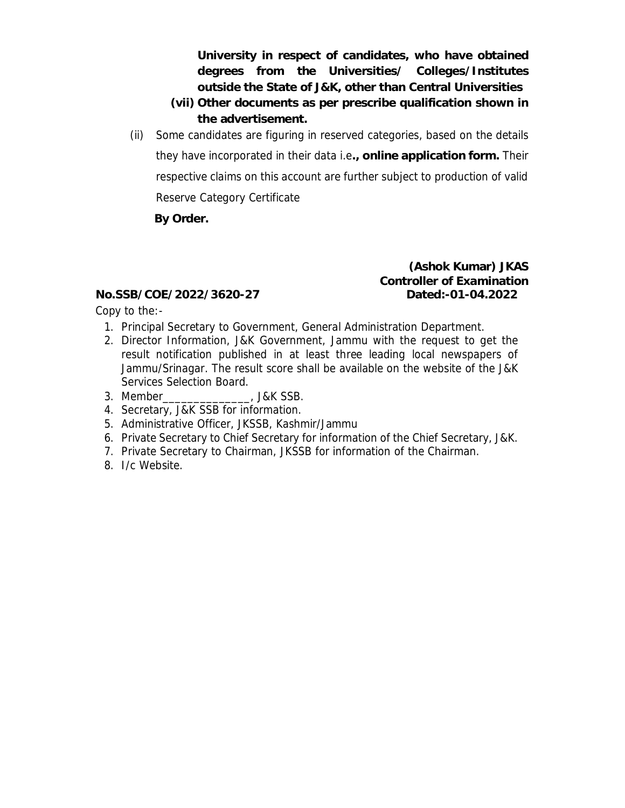**University in respect of candidates, who have obtained degrees from the Universities/ Colleges/Institutes outside the State of J&K, other than Central Universities** 

- **(vii) Other documents as per prescribe qualification shown in the advertisement.**
- (ii) Some candidates are figuring in reserved categories, based on the details they have incorporated in their data i.e**., online application form.** Their respective claims on this account are further subject to production of valid Reserve Category Certificate

**By Order.** 

**(Ashok Kumar) JKAS Controller of Examination No.SSB/COE/2022/3620-27 Dated:-01-04.2022** 

Copy to the:-

- 1. Principal Secretary to Government, General Administration Department.
- 2. Director Information, J&K Government, Jammu with the request to get the result notification published in at least three leading local newspapers of Jammu/Srinagar. The result score shall be available on the website of the J&K Services Selection Board.
- 3. Member\_\_\_\_\_\_\_\_\_\_\_\_\_\_, J&K SSB.
- 4. Secretary, J&K SSB for information.
- 5. Administrative Officer, JKSSB, Kashmir/Jammu
- 6. Private Secretary to Chief Secretary for information of the Chief Secretary, J&K.
- 7. Private Secretary to Chairman, JKSSB for information of the Chairman.
- 8. I/c Website.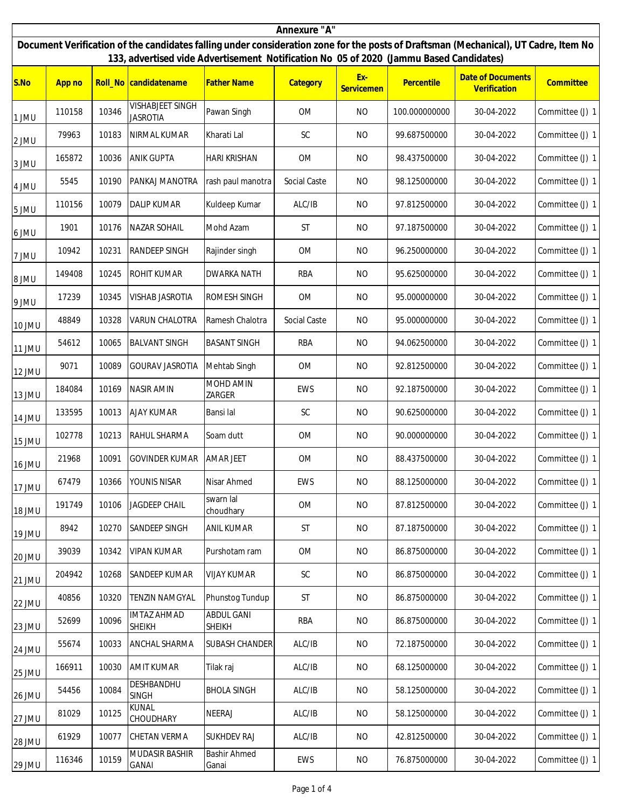| Annexure "A"                                                                                                                                                                                                                  |        |       |                                            |                              |                      |                   |               |                                          |                 |
|-------------------------------------------------------------------------------------------------------------------------------------------------------------------------------------------------------------------------------|--------|-------|--------------------------------------------|------------------------------|----------------------|-------------------|---------------|------------------------------------------|-----------------|
| Document Verification of the candidates falling under consideration zone for the posts of Draftsman (Mechanical), UT Cadre, Item No<br>133, advertised vide Advertisement Notification No 05 of 2020 (Jammu Based Candidates) |        |       |                                            |                              |                      |                   |               |                                          |                 |
| S.No                                                                                                                                                                                                                          | App no |       | Roll_No candidatename                      | <b>Father Name</b>           | Category             | Ex-<br>Servicemen | Percentile    | <b>Date of Documents</b><br>Verification | Committee       |
| 1 JMU                                                                                                                                                                                                                         | 110158 | 10346 | <b>VISHABJEET SINGH</b><br><b>JASROTIA</b> | Pawan Singh                  | <b>OM</b>            | <b>NO</b>         | 100.000000000 | 30-04-2022                               | Committee (J) 1 |
| 2 JMU                                                                                                                                                                                                                         | 79963  | 10183 | NIRMAL KUMAR                               | Kharati Lal                  | <b>SC</b>            | <b>NO</b>         | 99.687500000  | 30-04-2022                               | Committee (J) 1 |
| 3 JMU                                                                                                                                                                                                                         | 165872 | 10036 | <b>ANIK GUPTA</b>                          | <b>HARI KRISHAN</b>          | <b>OM</b>            | N <sub>O</sub>    | 98.437500000  | 30-04-2022                               | Committee (J) 1 |
| 4 JMU                                                                                                                                                                                                                         | 5545   | 10190 | PANKAJ MANOTRA                             | rash paul manotra            | Social Caste         | <b>NO</b>         | 98.125000000  | 30-04-2022                               | Committee (J) 1 |
| 5 JMU                                                                                                                                                                                                                         | 110156 | 10079 | <b>DALIP KUMAR</b>                         | Kuldeep Kumar                | ALC/IB               | <b>NO</b>         | 97.812500000  | 30-04-2022                               | Committee (J) 1 |
| 6 JMU                                                                                                                                                                                                                         | 1901   | 10176 | <b>NAZAR SOHAIL</b>                        | Mohd Azam                    | ST                   | <b>NO</b>         | 97.187500000  | 30-04-2022                               | Committee (J) 1 |
| 7 JMU                                                                                                                                                                                                                         | 10942  | 10231 | <b>RANDEEP SINGH</b>                       | Rajinder singh               | OM                   | <b>NO</b>         | 96.250000000  | 30-04-2022                               | Committee (J) 1 |
| 8 JMU                                                                                                                                                                                                                         | 149408 | 10245 | <b>ROHIT KUMAR</b>                         | <b>DWARKA NATH</b>           | <b>RBA</b>           | <b>NO</b>         | 95.625000000  | 30-04-2022                               | Committee (J) 1 |
| 9 JMU                                                                                                                                                                                                                         | 17239  | 10345 | <b>VISHAB JASROTIA</b>                     | ROMESH SINGH                 | <b>OM</b>            | <b>NO</b>         | 95.000000000  | 30-04-2022                               | Committee (J) 1 |
| 10 JMU                                                                                                                                                                                                                        | 48849  | 10328 | <b>VARUN CHALOTRA</b>                      | Ramesh Chalotra              | Social Caste         | <b>NO</b>         | 95.000000000  | 30-04-2022                               | Committee (J) 1 |
| 11 JMU                                                                                                                                                                                                                        | 54612  | 10065 | <b>BALVANT SINGH</b>                       | <b>BASANT SINGH</b>          | <b>RBA</b>           | <b>NO</b>         | 94.062500000  | 30-04-2022                               | Committee (J) 1 |
| 12 JMU                                                                                                                                                                                                                        | 9071   | 10089 | <b>GOURAV JASROTIA</b>                     | Mehtab Singh                 | <b>OM</b>            | N <sub>O</sub>    | 92.812500000  | 30-04-2022                               | Committee (J) 1 |
| 13 JMU                                                                                                                                                                                                                        | 184084 | 10169 | <b>NASIR AMIN</b>                          | MOHD AMIN<br>ZARGER          | EWS                  | <b>NO</b>         | 92.187500000  | 30-04-2022                               | Committee (J) 1 |
| 14 JMU                                                                                                                                                                                                                        | 133595 | 10013 | <b>AJAY KUMAR</b>                          | Bansi lal                    | $\mathsf{SC}$        | <b>NO</b>         | 90.625000000  | 30-04-2022                               | Committee (J) 1 |
| 15 JMU                                                                                                                                                                                                                        | 102778 | 10213 | RAHUL SHARMA                               | Soam dutt                    | <b>OM</b>            | <b>NO</b>         | 90.000000000  | 30-04-2022                               | Committee (J) 1 |
| 16 JMU                                                                                                                                                                                                                        | 21968  | 10091 | <b>GOVINDER KUMAR</b>                      | AMAR JEET                    | <b>OM</b>            | <b>NO</b>         | 88.437500000  | 30-04-2022                               | Committee (J) 1 |
| 17 JMU                                                                                                                                                                                                                        | 67479  | 10366 | YOUNIS NISAR                               | Nisar Ahmed                  | EWS                  | NO.               | 88.125000000  | 30-04-2022                               | Committee (J) 1 |
| 18 JMU                                                                                                                                                                                                                        | 191749 | 10106 | JAGDEEP CHAIL                              | swarn lal<br>choudhary       | OM                   | <b>NO</b>         | 87.812500000  | 30-04-2022                               | Committee (J) 1 |
| 19 JMU                                                                                                                                                                                                                        | 8942   | 10270 | SANDEEP SINGH                              | <b>ANIL KUMAR</b>            | <b>ST</b>            | <b>NO</b>         | 87.187500000  | 30-04-2022                               | Committee (J) 1 |
| 20 JMU                                                                                                                                                                                                                        | 39039  | 10342 | <b>VIPAN KUMAR</b>                         | Purshotam ram                | <b>OM</b>            | <b>NO</b>         | 86.875000000  | 30-04-2022                               | Committee (J) 1 |
| 21 JMU                                                                                                                                                                                                                        | 204942 | 10268 | SANDEEP KUMAR                              | <b>VIJAY KUMAR</b>           | $\mathsf{SC}$        | <b>NO</b>         | 86.875000000  | 30-04-2022                               | Committee (J) 1 |
| 22 JMU                                                                                                                                                                                                                        | 40856  | 10320 | <b>TENZIN NAMGYAL</b>                      | Phunstog Tundup              | $\mathsf{ST}\xspace$ | <b>NO</b>         | 86.875000000  | 30-04-2022                               | Committee (J) 1 |
| 23 JMU                                                                                                                                                                                                                        | 52699  | 10096 | <b>IMTAZ AHMAD</b><br><b>SHEIKH</b>        | ABDUL GANI<br>SHEIKH         | <b>RBA</b>           | <b>NO</b>         | 86.875000000  | 30-04-2022                               | Committee (J) 1 |
| 24 JMU                                                                                                                                                                                                                        | 55674  | 10033 | ANCHAL SHARMA                              | SUBASH CHANDER               | ALC/IB               | <b>NO</b>         | 72.187500000  | 30-04-2022                               | Committee (J) 1 |
| 25 JMU                                                                                                                                                                                                                        | 166911 | 10030 | <b>AMIT KUMAR</b>                          | Tilak raj                    | ALC/IB               | <b>NO</b>         | 68.125000000  | 30-04-2022                               | Committee (J) 1 |
| 26 JMU                                                                                                                                                                                                                        | 54456  | 10084 | DESHBANDHU<br><b>SINGH</b>                 | <b>BHOLA SINGH</b>           | ALC/IB               | <b>NO</b>         | 58.125000000  | 30-04-2022                               | Committee (J) 1 |
| 27 JMU                                                                                                                                                                                                                        | 81029  | 10125 | <b>KUNAL</b><br>CHOUDHARY                  | NEERAJ                       | ALC/IB               | <b>NO</b>         | 58.125000000  | 30-04-2022                               | Committee (J) 1 |
| 28 JMU                                                                                                                                                                                                                        | 61929  | 10077 | <b>CHETAN VERMA</b>                        | <b>SUKHDEV RAJ</b>           | ALC/IB               | <b>NO</b>         | 42.812500000  | 30-04-2022                               | Committee (J) 1 |
| 29 JMU                                                                                                                                                                                                                        | 116346 | 10159 | MUDASIR BASHIR<br>GANAI                    | <b>Bashir Ahmed</b><br>Ganai | EWS                  | <b>NO</b>         | 76.875000000  | 30-04-2022                               | Committee (J) 1 |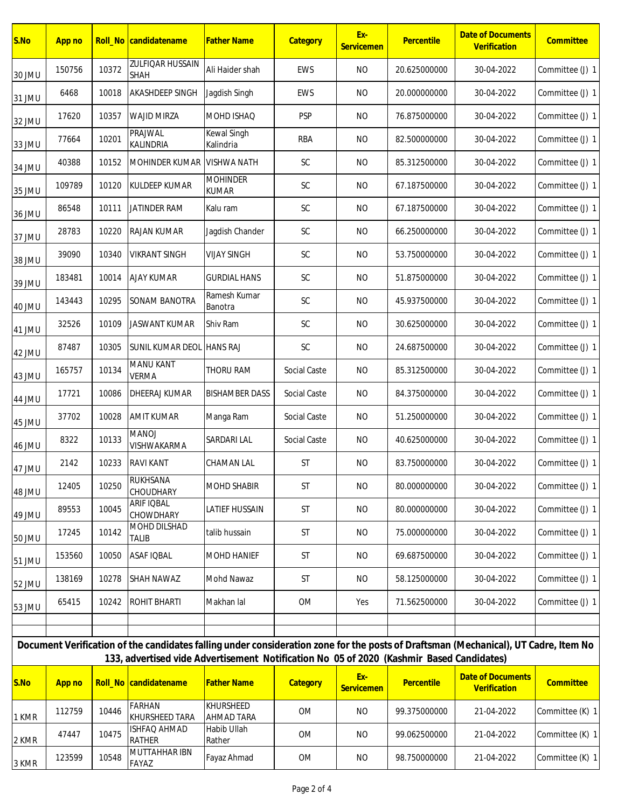| S.No                                                                                                                                                                                                                            | App no |       | Roll_No candidatename                 | <b>Father Name</b>              | Category      | Ex-<br>Servicemen | Percentile   | <b>Date of Documents</b><br>Verification | Committee       |
|---------------------------------------------------------------------------------------------------------------------------------------------------------------------------------------------------------------------------------|--------|-------|---------------------------------------|---------------------------------|---------------|-------------------|--------------|------------------------------------------|-----------------|
| 30 JMU                                                                                                                                                                                                                          | 150756 | 10372 | <b>ZULFIQAR HUSSAIN</b><br>SHAH       | Ali Haider shah                 | EWS           | <b>NO</b>         | 20.625000000 | 30-04-2022                               | Committee (J) 1 |
| 31 JMU                                                                                                                                                                                                                          | 6468   | 10018 | <b>AKASHDEEP SINGH</b>                | Jagdish Singh                   | EWS           | <b>NO</b>         | 20.000000000 | 30-04-2022                               | Committee (J) 1 |
| 32 JMU                                                                                                                                                                                                                          | 17620  | 10357 | <b>WAJID MIRZA</b>                    | MOHD ISHAQ                      | <b>PSP</b>    | <b>NO</b>         | 76.875000000 | 30-04-2022                               | Committee (J) 1 |
| 33 JMU                                                                                                                                                                                                                          | 77664  | 10201 | PRAJWAL<br>KALINDRIA                  | Kewal Singh<br>Kalindria        | <b>RBA</b>    | <b>NO</b>         | 82.500000000 | 30-04-2022                               | Committee (J) 1 |
| 34 JMU                                                                                                                                                                                                                          | 40388  | 10152 | MOHINDER KUMAR                        | <b>VISHWA NATH</b>              | SC            | <b>NO</b>         | 85.312500000 | 30-04-2022                               | Committee (J) 1 |
| 35 JMU                                                                                                                                                                                                                          | 109789 | 10120 | KULDEEP KUMAR                         | <b>MOHINDER</b><br><b>KUMAR</b> | $\mathsf{SC}$ | <b>NO</b>         | 67.187500000 | 30-04-2022                               | Committee (J) 1 |
| 36 JMU                                                                                                                                                                                                                          | 86548  | 10111 | <b>JATINDER RAM</b>                   | Kalu ram                        | SC            | <b>NO</b>         | 67.187500000 | 30-04-2022                               | Committee (J) 1 |
| 37 JMU                                                                                                                                                                                                                          | 28783  | 10220 | <b>RAJAN KUMAR</b>                    | Jagdish Chander                 | SC            | <b>NO</b>         | 66.250000000 | 30-04-2022                               | Committee (J) 1 |
| 38 JMU                                                                                                                                                                                                                          | 39090  | 10340 | <b>VIKRANT SINGH</b>                  | <b>VIJAY SINGH</b>              | SC            | <b>NO</b>         | 53.750000000 | 30-04-2022                               | Committee (J) 1 |
| 39 JMU                                                                                                                                                                                                                          | 183481 | 10014 | <b>AJAY KUMAR</b>                     | <b>GURDIAL HANS</b>             | SC            | <b>NO</b>         | 51.875000000 | 30-04-2022                               | Committee (J) 1 |
| 40 JMU                                                                                                                                                                                                                          | 143443 | 10295 | <b>SONAM BANOTRA</b>                  | Ramesh Kumar<br>Banotra         | $\mathsf{SC}$ | <b>NO</b>         | 45.937500000 | 30-04-2022                               | Committee (J) 1 |
| 41 JMU                                                                                                                                                                                                                          | 32526  | 10109 | <b>JASWANT KUMAR</b>                  | Shiv Ram                        | $\mathsf{SC}$ | <b>NO</b>         | 30.625000000 | 30-04-2022                               | Committee (J) 1 |
| 42 JMU                                                                                                                                                                                                                          | 87487  | 10305 | SUNIL KUMAR DEOL HANS RAJ             |                                 | $\mathsf{SC}$ | <b>NO</b>         | 24.687500000 | 30-04-2022                               | Committee (J) 1 |
| 43 JMU                                                                                                                                                                                                                          | 165757 | 10134 | <b>MANU KANT</b><br><b>VERMA</b>      | THORU RAM                       | Social Caste  | <b>NO</b>         | 85.312500000 | 30-04-2022                               | Committee (J) 1 |
| 44 JMU                                                                                                                                                                                                                          | 17721  | 10086 | DHEERAJ KUMAR                         | <b>BISHAMBER DASS</b>           | Social Caste  | <b>NO</b>         | 84.375000000 | 30-04-2022                               | Committee (J) 1 |
| 45 JMU                                                                                                                                                                                                                          | 37702  | 10028 | <b>AMIT KUMAR</b>                     | Manga Ram                       | Social Caste  | <b>NO</b>         | 51.250000000 | 30-04-2022                               | Committee (J) 1 |
| 46 JMU                                                                                                                                                                                                                          | 8322   | 10133 | <b>MANOJ</b><br>VISHWAKARMA           | SARDARI LAL                     | Social Caste  | <b>NO</b>         | 40.625000000 | 30-04-2022                               | Committee (J) 1 |
| 47 JMU                                                                                                                                                                                                                          | 2142   | 10233 | <b>RAVI KANT</b>                      | CHAMAN LAL                      | <b>ST</b>     | <b>NO</b>         | 83.750000000 | 30-04-2022                               | Committee (J) 1 |
| 48 JMU                                                                                                                                                                                                                          | 12405  | 10250 | RUKHSANA<br>CHOUDHARY                 | MOHD SHABIR                     | <b>ST</b>     | <b>NO</b>         | 80.000000000 | 30-04-2022                               | Committee (J) 1 |
| 49 JMU                                                                                                                                                                                                                          | 89553  | 10045 | <b>ARIF IQBAL</b><br>CHOWDHARY        | LATIEF HUSSAIN                  | ST            | <b>NO</b>         | 80.000000000 | 30-04-2022                               | Committee (J) 1 |
| 50 JMU                                                                                                                                                                                                                          | 17245  | 10142 | MOHD DILSHAD<br><b>TALIB</b>          | talib hussain                   | ST            | <b>NO</b>         | 75.000000000 | 30-04-2022                               | Committee (J) 1 |
| 51 JMU                                                                                                                                                                                                                          | 153560 | 10050 | <b>ASAF IQBAL</b>                     | MOHD HANIEF                     | <b>ST</b>     | <b>NO</b>         | 69.687500000 | 30-04-2022                               | Committee (J) 1 |
| 52 JMU                                                                                                                                                                                                                          | 138169 | 10278 | <b>SHAH NAWAZ</b>                     | Mohd Nawaz                      | ST            | <b>NO</b>         | 58.125000000 | 30-04-2022                               | Committee (J) 1 |
| 53 JMU                                                                                                                                                                                                                          | 65415  | 10242 | <b>ROHIT BHARTI</b>                   | Makhan lal                      | OM            | Yes               | 71.562500000 | 30-04-2022                               | Committee (J) 1 |
|                                                                                                                                                                                                                                 |        |       |                                       |                                 |               |                   |              |                                          |                 |
| Document Verification of the candidates falling under consideration zone for the posts of Draftsman (Mechanical), UT Cadre, Item No<br>133, advertised vide Advertisement Notification No 05 of 2020 (Kashmir Based Candidates) |        |       |                                       |                                 |               |                   |              |                                          |                 |
| S.No                                                                                                                                                                                                                            | App no |       | Roll_No candidatename                 | <b>Father Name</b>              | Category      | Ex-               | Percentile   | <b>Date of Documents</b>                 | Committee       |
|                                                                                                                                                                                                                                 |        |       | <b>FARHAN</b>                         | KHURSHEED                       |               | Servicemen        |              | Verification                             |                 |
| 1 KMR                                                                                                                                                                                                                           | 112759 | 10446 | KHURSHEED TARA<br><b>ISHFAQ AHMAD</b> | AHMAD TARA<br>Habib Ullah       | OM            | <b>NO</b>         | 99.375000000 | 21-04-2022                               | Committee (K) 1 |
| 2 KMR                                                                                                                                                                                                                           | 47447  | 10475 | <b>RATHER</b>                         | Rather                          | OM            | <b>NO</b>         | 99.062500000 | 21-04-2022                               | Committee (K) 1 |
| 3 KMR                                                                                                                                                                                                                           | 123599 | 10548 | MUTTAHHAR IBN<br>FAYAZ                | Fayaz Ahmad                     | OM            | <b>NO</b>         | 98.750000000 | 21-04-2022                               | Committee (K) 1 |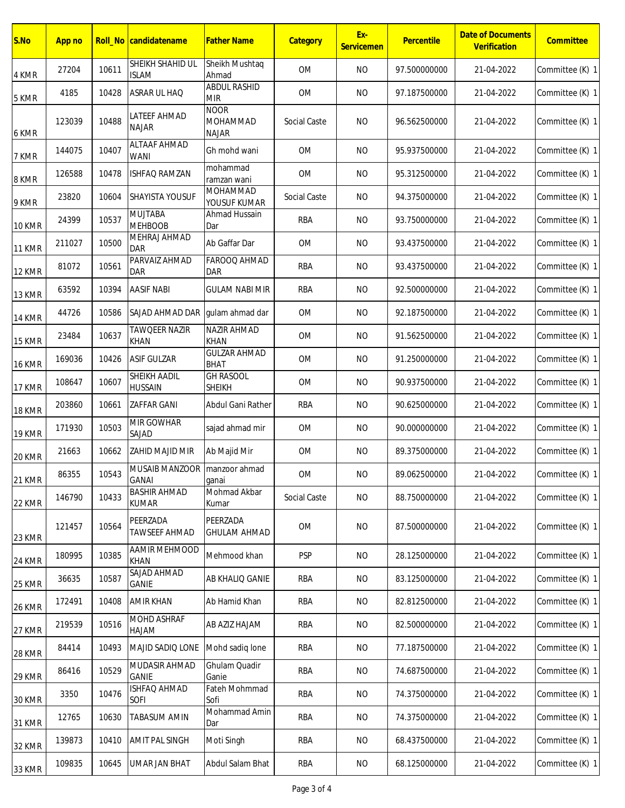| S.No          | App no |       | Roll_No   candidatename               | <b>Father Name</b>                      | Category     | Ex-<br>Servicemen | Percentile   | <b>Date of Documents</b><br>Verification | Committee       |
|---------------|--------|-------|---------------------------------------|-----------------------------------------|--------------|-------------------|--------------|------------------------------------------|-----------------|
| 4 KMR         | 27204  | 10611 | SHEIKH SHAHID UL<br><b>ISLAM</b>      | Sheikh Mushtaq<br>Ahmad                 | <b>OM</b>    | <b>NO</b>         | 97.500000000 | 21-04-2022                               | Committee (K) 1 |
| 5 KMR         | 4185   | 10428 | ASRAR UL HAQ                          | <b>ABDUL RASHID</b><br><b>MIR</b>       | OM           | <b>NO</b>         | 97.187500000 | 21-04-2022                               | Committee (K) 1 |
| 6 KMR         | 123039 | 10488 | LATEEF AHMAD<br><b>NAJAR</b>          | <b>NOOR</b><br>MOHAMMAD<br><b>NAJAR</b> | Social Caste | <b>NO</b>         | 96.562500000 | 21-04-2022                               | Committee (K) 1 |
| 7 KMR         | 144075 | 10407 | <b>ALTAAF AHMAD</b><br><b>WANI</b>    | Gh mohd wani                            | <b>OM</b>    | <b>NO</b>         | 95.937500000 | 21-04-2022                               | Committee (K) 1 |
| 8 KMR         | 126588 | 10478 | <b>ISHFAQ RAMZAN</b>                  | mohammad<br>ramzan wani                 | <b>OM</b>    | <b>NO</b>         | 95.312500000 | 21-04-2022                               | Committee (K) 1 |
| 9 KMR         | 23820  | 10604 | SHAYISTA YOUSUF                       | MOHAMMAD<br>YOUSUF KUMAR                | Social Caste | <b>NO</b>         | 94.375000000 | 21-04-2022                               | Committee (K) 1 |
| 10 KMR        | 24399  | 10537 | <b>MUJTABA</b><br><b>MEHBOOB</b>      | Ahmad Hussain<br>Dar                    | <b>RBA</b>   | <b>NO</b>         | 93.750000000 | 21-04-2022                               | Committee (K) 1 |
| 11 KMR        | 211027 | 10500 | MEHRAJ AHMAD<br><b>DAR</b>            | Ab Gaffar Dar                           | <b>OM</b>    | <b>NO</b>         | 93.437500000 | 21-04-2022                               | Committee (K) 1 |
| 12 KMR        | 81072  | 10561 | PARVAIZ AHMAD<br><b>DAR</b>           | FAROOQ AHMAD<br><b>DAR</b>              | <b>RBA</b>   | <b>NO</b>         | 93.437500000 | 21-04-2022                               | Committee (K) 1 |
| 13 KMR        | 63592  | 10394 | <b>AASIF NABI</b>                     | <b>GULAM NABI MIR</b>                   | <b>RBA</b>   | <b>NO</b>         | 92.500000000 | 21-04-2022                               | Committee (K) 1 |
| 14 KMR        | 44726  | 10586 | SAJAD AHMAD DAR                       | gulam ahmad dar                         | <b>OM</b>    | <b>NO</b>         | 92.187500000 | 21-04-2022                               | Committee (K) 1 |
| 15 KMR        | 23484  | 10637 | <b>TAWQEER NAZIR</b><br><b>KHAN</b>   | NAZIR AHMAD<br>KHAN                     | <b>OM</b>    | <b>NO</b>         | 91.562500000 | 21-04-2022                               | Committee (K) 1 |
| 16 KMR        | 169036 | 10426 | <b>ASIF GULZAR</b>                    | <b>GULZAR AHMAD</b><br><b>BHAT</b>      | OM           | <b>NO</b>         | 91.250000000 | 21-04-2022                               | Committee (K) 1 |
| 17 KMR        | 108647 | 10607 | <b>SHEIKH AADIL</b><br><b>HUSSAIN</b> | <b>GH RASOOL</b><br><b>SHEIKH</b>       | <b>OM</b>    | <b>NO</b>         | 90.937500000 | 21-04-2022                               | Committee (K) 1 |
| 18 KMR        | 203860 | 10661 | <b>ZAFFAR GANI</b>                    | Abdul Gani Rather                       | <b>RBA</b>   | <b>NO</b>         | 90.625000000 | 21-04-2022                               | Committee (K) 1 |
| <b>19 KMR</b> | 171930 | 10503 | MIR GOWHAR<br>SAJAD                   | sajad ahmad mir                         | <b>OM</b>    | <b>NO</b>         | 90.000000000 | 21-04-2022                               | Committee (K) 1 |
| 20 KMR        | 21663  | 10662 | <b>ZAHID MAJID MIR</b>                | Ab Majid Mir                            | <b>OM</b>    | <b>NO</b>         | 89.375000000 | 21-04-2022                               | Committee (K) 1 |
| 21 KMR        | 86355  | 10543 | MUSAIB MANZOOR<br><b>GANAI</b>        | manzoor ahmad<br>ganai                  | OM           | <b>NO</b>         | 89.062500000 | 21-04-2022                               | Committee (K) 1 |
| 22 KMR        | 146790 | 10433 | <b>BASHIR AHMAD</b><br><b>KUMAR</b>   | Mohmad Akbar<br>Kumar                   | Social Caste | <b>NO</b>         | 88.750000000 | 21-04-2022                               | Committee (K) 1 |
| 23 KMR        | 121457 | 10564 | PEERZADA<br><b>TAWSEEF AHMAD</b>      | PEERZADA<br><b>GHULAM AHMAD</b>         | <b>OM</b>    | <b>NO</b>         | 87.500000000 | 21-04-2022                               | Committee (K) 1 |
| 24 KMR        | 180995 | 10385 | AAMIR MEHMOOD<br>KHAN                 | Mehmood khan                            | <b>PSP</b>   | <b>NO</b>         | 28.125000000 | 21-04-2022                               | Committee (K) 1 |
| 25 KMR        | 36635  | 10587 | SAJAD AHMAD<br><b>GANIE</b>           | AB KHALIQ GANIE                         | RBA          | <b>NO</b>         | 83.125000000 | 21-04-2022                               | Committee (K) 1 |
| 26 KMR        | 172491 | 10408 | <b>AMIR KHAN</b>                      | Ab Hamid Khan                           | <b>RBA</b>   | <b>NO</b>         | 82.812500000 | 21-04-2022                               | Committee (K) 1 |
| 27 KMR        | 219539 | 10516 | MOHD ASHRAF<br>HAJAM                  | AB AZIZ HAJAM                           | RBA          | <b>NO</b>         | 82.500000000 | 21-04-2022                               | Committee (K) 1 |
| 28 KMR        | 84414  | 10493 | MAJID SADIQ LONE                      | Mohd sadiq lone                         | RBA          | <b>NO</b>         | 77.187500000 | 21-04-2022                               | Committee (K) 1 |
| 29 KMR        | 86416  | 10529 | MUDASIR AHMAD<br>GANIE                | Ghulam Quadir<br>Ganie                  | RBA          | <b>NO</b>         | 74.687500000 | 21-04-2022                               | Committee (K) 1 |
| 30 KMR        | 3350   | 10476 | ISHFAQ AHMAD<br>SOFI                  | Fateh Mohmmad<br>Sofi                   | RBA          | <b>NO</b>         | 74.375000000 | 21-04-2022                               | Committee (K) 1 |
| 31 KMR        | 12765  | 10630 | <b>TABASUM AMIN</b>                   | Mohammad Amin<br>Dar                    | RBA          | <b>NO</b>         | 74.375000000 | 21-04-2022                               | Committee (K) 1 |
| 32 KMR        | 139873 | 10410 | AMIT PAL SINGH                        | Moti Singh                              | RBA          | <b>NO</b>         | 68.437500000 | 21-04-2022                               | Committee (K) 1 |
| 33 KMR        | 109835 | 10645 | UMAR JAN BHAT                         | Abdul Salam Bhat                        | RBA          | <b>NO</b>         | 68.125000000 | 21-04-2022                               | Committee (K) 1 |